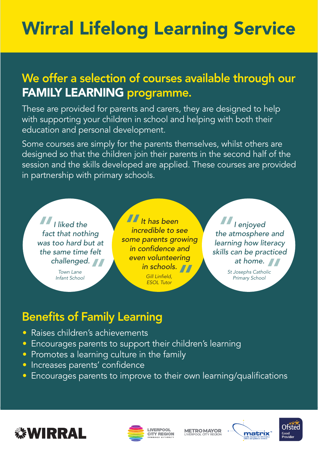## Wirral Lifelong Learning Service

## We offer a selection of courses available through our FAMILY LEARNING programme.

These are provided for parents and carers, they are designed to help with supporting your children in school and helping with both their education and personal development.

Some courses are simply for the parents themselves, whilst others are designed so that the children join their parents in the second half of the session and the skills developed are applied. These courses are provided in partnership with primary schools.



*Infant School Town Lane* 

*It has been incredible to see some parents growing in confidence and even volunteering in schools.*<br> *Gill Linfield,*<br> *ESOL Tutor <u>|</u><br>|<br>|<br>| ine Gill Linfield, ESOL Tutor* 

*I enjoyed the atmosphere and learning how literacy skills can be practiced M*<br>the a

**at home.**<br> **Mosephs Catholic**<br> **Primary School** *St Josephs Catholic Primary School*

## Benefits of Family Learning

- Raises children's achievements
- Encourages parents to support their children's learning
- Promotes a learning culture in the family
- Increases parents' confidence
- Encourages parents to improve to their own learning/qualifications